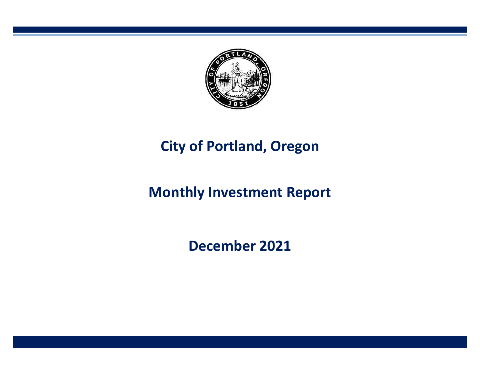

# **City of Portland, Oregon**

# **Monthly Investment Report**

**December 2021**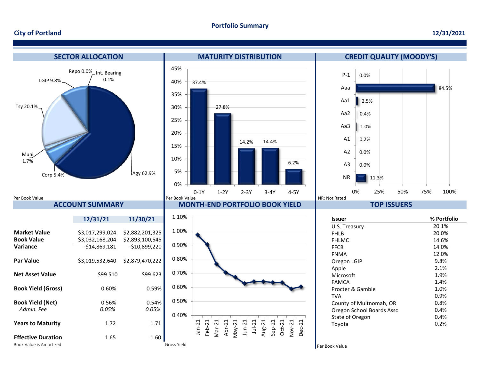#### **Portfolio Summary**

#### **City of Portland**

#### **12/31/2021**

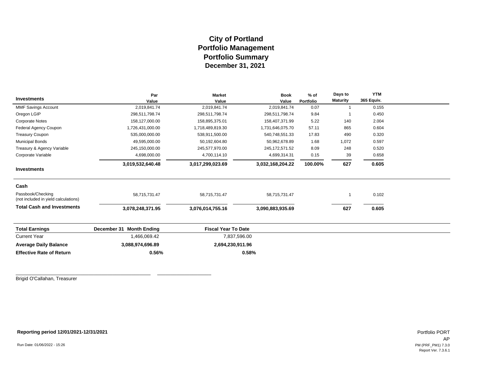## **City of Portland Portfolio Management December 31, 2021 Portfolio Summary**

|                                                           | Par                      | <b>Market</b>              | <b>Book</b>      | $%$ of    | Days to         | <b>YTM</b> |  |
|-----------------------------------------------------------|--------------------------|----------------------------|------------------|-----------|-----------------|------------|--|
| <b>Investments</b>                                        | Value                    | Value                      | Value            | Portfolio | <b>Maturity</b> | 365 Equiv. |  |
| <b>MMF Savings Account</b>                                | 2,019,841.74             | 2,019,841.74               | 2,019,841.74     | 0.07      | $\overline{1}$  | 0.155      |  |
| Oregon LGIP                                               | 298,511,798.74           | 298,511,798.74             | 298,511,798.74   | 9.84      |                 | 0.450      |  |
| <b>Corporate Notes</b>                                    | 158,127,000.00           | 158,895,375.01             | 158,407,371.99   | 5.22      | 140             | 2.004      |  |
| Federal Agency Coupon                                     | 1,726,431,000.00         | 1,718,489,819.30           | 1,731,646,075.70 | 57.11     | 865             | 0.604      |  |
| <b>Treasury Coupon</b>                                    | 535,000,000.00           | 538,911,500.00             | 540,748,551.33   | 17.83     | 490             | 0.320      |  |
| <b>Municipal Bonds</b>                                    | 49,595,000.00            | 50,192,604.80              | 50,962,678.89    | 1.68      | 1,072           | 0.597      |  |
| Treasury & Agency Variable                                | 245,150,000.00           | 245,577,970.00             | 245, 172, 571.52 | 8.09      | 248             | 0.520      |  |
| Corporate Variable                                        | 4,698,000.00             | 4,700,114.10               | 4,699,314.31     | 0.15      | 39              | 0.658      |  |
|                                                           | 3,019,532,640.48         | 3,017,299,023.69           | 3,032,168,204.22 | 100.00%   | 627             | 0.605      |  |
| <b>Investments</b>                                        |                          |                            |                  |           |                 |            |  |
| Cash                                                      |                          |                            |                  |           |                 |            |  |
| Passbook/Checking<br>(not included in yield calculations) | 58,715,731.47            | 58,715,731.47              | 58,715,731.47    |           | $\overline{1}$  | 0.102      |  |
| <b>Total Cash and Investments</b>                         | 3,078,248,371.95         | 3,076,014,755.16           | 3,090,883,935.69 |           | 627             | 0.605      |  |
|                                                           |                          |                            |                  |           |                 |            |  |
| <b>Total Earnings</b>                                     | December 31 Month Ending | <b>Fiscal Year To Date</b> |                  |           |                 |            |  |
| <b>Current Year</b>                                       | 1,466,069.42             |                            | 7,837,596.00     |           |                 |            |  |
| <b>Average Daily Balance</b>                              | 3,088,974,696.89         |                            | 2,694,230,911.96 |           |                 |            |  |
| <b>Effective Rate of Return</b>                           | 0.56%                    |                            | 0.58%            |           |                 |            |  |
|                                                           |                          |                            |                  |           |                 |            |  |

Brigid O'Callahan, Treasurer

**Reporting period 12/01/2021-12/31/2021**

\_\_\_\_\_\_\_\_\_\_\_\_\_\_\_\_\_\_\_\_\_\_\_\_\_\_\_\_\_\_\_\_\_\_\_\_\_\_\_\_\_\_\_\_\_\_\_\_\_\_ \_\_\_\_\_\_\_\_\_\_\_\_\_\_\_\_\_\_\_\_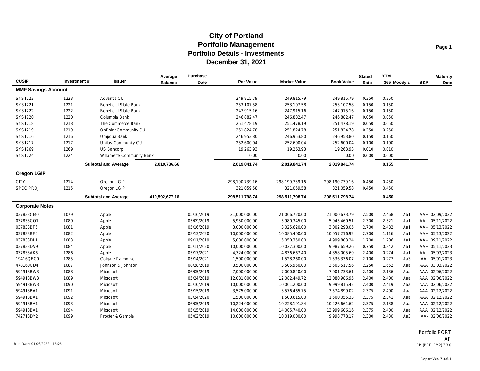| <b>CUSIP</b>               | Investment# | Issuer                       | Average<br><b>Balance</b> | <b>Purchase</b><br><b>Date</b> | Par Value      | <b>Market Value</b> | <b>Book Value</b> | <b>Stated</b><br>Rate | <b>YTM</b><br>365 Moody's | S&P | <b>Maturity</b><br>Date |
|----------------------------|-------------|------------------------------|---------------------------|--------------------------------|----------------|---------------------|-------------------|-----------------------|---------------------------|-----|-------------------------|
| <b>MMF Savings Account</b> |             |                              |                           |                                |                |                     |                   |                       |                           |     |                         |
| SYS1223                    | 1223        | <b>Advantis CU</b>           |                           |                                | 249,815.79     | 249,815.79          | 249,815.79        | 0.350                 | 0.350                     |     |                         |
| SYS1221                    | 1221        | <b>Beneficial State Bank</b> |                           |                                | 253,107.58     | 253,107.58          | 253,107.58        | 0.150                 | 0.150                     |     |                         |
| SYS1222                    | 1222        | <b>Beneficial State Bank</b> |                           |                                | 247,915.16     | 247,915.16          | 247,915.16        | 0.150                 | 0.150                     |     |                         |
| SYS1220                    | 1220        | Columbia Bank                |                           |                                | 246,882.47     | 246,882.47          | 246,882.47        | 0.050                 | 0.050                     |     |                         |
| SYS1218                    | 1218        | The Commerce Bank            |                           |                                | 251,478.19     | 251,478.19          | 251,478.19        | 0.050                 | 0.050                     |     |                         |
| SYS1219                    | 1219        | <b>OnPoint Community CU</b>  |                           |                                | 251,824.78     | 251,824.78          | 251,824.78        | 0.250                 | 0.250                     |     |                         |
| SYS1216                    | 1216        | Umpqua Bank                  |                           |                                | 246,953.80     | 246,953.80          | 246,953.80        | 0.150                 | 0.150                     |     |                         |
| SYS1217                    | 1217        | Unitus Community CU          |                           |                                | 252,600.04     | 252,600.04          | 252,600.04        | 0.100                 | 0.100                     |     |                         |
| SYS1269                    | 1269        | US Bancorp                   |                           |                                | 19,263.93      | 19,263.93           | 19,263.93         | 0.010                 | 0.010                     |     |                         |
| SYS1224                    | 1224        | Willamette Community Bank    |                           |                                | 0.00           | 0.00                | 0.00              | 0.600                 | 0.600                     |     |                         |
|                            |             | <b>Subtotal and Average</b>  | 2,019,736.66              |                                | 2,019,841.74   | 2,019,841.74        | 2,019,841.74      |                       | 0.155                     |     |                         |
| <b>Oregon LGIP</b>         |             |                              |                           |                                |                |                     |                   |                       |                           |     |                         |
| <b>CITY</b>                | 1214        | Oregon LGIP                  |                           |                                | 298,190,739.16 | 298,190,739.16      | 298,190,739.16    | 0.450                 | 0.450                     |     |                         |
| <b>SPEC PROJ</b>           | 1215        | Oregon LGIP                  |                           |                                | 321,059.58     | 321,059.58          | 321,059.58        | 0.450                 | 0.450                     |     |                         |
|                            |             | <b>Subtotal and Average</b>  | 410,592,677.16            |                                | 298,511,798.74 | 298,511,798.74      | 298,511,798.74    |                       | 0.450                     |     |                         |
| <b>Corporate Notes</b>     |             |                              |                           |                                |                |                     |                   |                       |                           |     |                         |
| 037833CM0                  | 1079        | Apple                        |                           | 05/16/2019                     | 21,000,000.00  | 21,006,720.00       | 21,000,673.79     | 2.500                 | 2.468<br>Aa1              |     | AA+ 02/09/2022          |
| 037833CQ1                  | 1080        | Apple                        |                           | 05/09/2019                     | 5,950,000.00   | 5,980,345.00        | 5,945,460.51      | 2.300                 | 2.521<br>Aa1              |     | AA+ 05/11/2022          |
| 037833BF6                  | 1081        | Apple                        |                           | 05/16/2019                     | 3,000,000.00   | 3,025,620.00        | 3,002,298.05      | 2.700                 | 2.482<br>Aa1              |     | AA+ 05/13/2022          |
| 037833BF6                  | 1082        | Apple                        |                           | 03/13/2020                     | 10,000,000.00  | 10,085,400.00       | 10,057,216.92     | 2.700                 | 1.116<br>Aa1              |     | AA+ 05/13/2022          |
| 037833DL1                  | 1083        | Apple                        |                           | 09/11/2019                     | 5,000,000.00   | 5,050,350.00        | 4,999,803.24      | 1.700                 | 1.706<br>Aa1              |     | AA+ 09/11/2022          |
| 037833DV9                  | 1084        | Apple                        |                           | 05/11/2020                     | 10,000,000.00  | 10,027,300.00       | 9.987.659.26      | 0.750                 | 0.842<br>Aa1              |     | AA+ 05/11/2023          |
| 037833AK6                  | 1286        | Apple                        |                           | 05/17/2021                     | 4,724,000.00   | 4,836,667.40        | 4,858,005.69      | 2.400                 | 0.274<br>Aa1              |     | AA+ 05/03/2023          |
| 19416QEC0                  | 1285        | Colgate-Palmolive            |                           | 05/14/2021                     | 1,500,000.00   | 1,528,260.00        | 1,536,336.07      | 2.100                 | 0.277<br>Aa3              |     | AA- 05/01/2023          |
| 478160CD4                  | 1087        | Johnson & Johnson            |                           | 08/28/2019                     | 3,500,000.00   | 3,505,950.00        | 3,503,517.56      | 2.250                 | 1.652<br>Aaa              |     | AAA 03/03/2022          |
| 594918BW3                  | 1088        | Microsoft                    |                           | 06/05/2019                     | 7,000,000.00   | 7,000,840.00        | 7,001,733.61      | 2.400                 | 2.136<br>Aaa              |     | AAA 02/06/2022          |
| 594918BW3                  | 1089        | Microsoft                    |                           | 05/24/2019                     | 12,081,000.00  | 12,082,449.72       | 12,080,986.95     | 2.400                 | 2.400<br>Aaa              |     | AAA 02/06/2022          |
| 594918BW3                  | 1090        | Microsoft                    |                           | 05/10/2019                     | 10,000,000.00  | 10,001,200.00       | 9,999,815.42      | 2.400                 | 2.419<br>Aaa              |     | AAA 02/06/2022          |
| 594918BA1                  | 1091        | Microsoft                    |                           | 05/15/2019                     | 3,575,000.00   | 3,576,465.75        | 3,574,899.02      | 2.375                 | 2.400<br>Aaa              |     | AAA 02/12/2022          |
| 594918BA1                  | 1092        | Microsoft                    |                           | 03/24/2020                     | 1,500,000.00   | 1,500,615.00        | 1,500,055.33      | 2.375                 | 2.341<br>Aaa              |     | AAA 02/12/2022          |
| 594918BA1                  | 1093        | Microsoft                    |                           | 06/05/2019                     | 10,224,000.00  | 10,228,191.84       | 10,226,661.62     | 2.375                 | 2.138<br>Aaa              |     | AAA 02/12/2022          |
| 594918BA1                  | 1094        | Microsoft                    |                           | 05/15/2019                     | 14,000,000.00  | 14,005,740.00       | 13,999,606.16     | 2.375                 | 2.400<br>Aaa              |     | AAA 02/12/2022          |
| 742718DY2                  | 1099        | Procter & Gamble             |                           | 05/02/2019                     | 10,000,000.00  | 10,019,000.00       | 9,998,778.17      | 2.300                 | 2.430<br>Aa3              |     | AA- 02/06/2022          |

Portfolio PORT AP Run Date: 01/06/2022 - 15:26 PM (PRF\_PM2) 7.3.0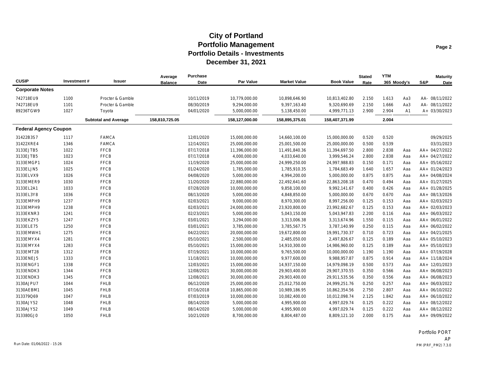| <b>CUSIP</b>                 | Investment# | <b>Issuer</b>               | Average<br><b>Balance</b> | Purchase<br>Date | Par Value      | <b>Market Value</b> | <b>Book Value</b> | <b>Stated</b><br>Rate | <b>YTM</b><br>365 Moody's |     | S&P | <b>Maturity</b><br>Date |
|------------------------------|-------------|-----------------------------|---------------------------|------------------|----------------|---------------------|-------------------|-----------------------|---------------------------|-----|-----|-------------------------|
| <b>Corporate Notes</b>       |             |                             |                           |                  |                |                     |                   |                       |                           |     |     |                         |
| 742718EU9                    | 1100        | Procter & Gamble            |                           | 10/11/2019       | 10,779,000.00  | 10,898,646.90       | 10,813,402.80     | 2.150                 | 1.613                     | Aa3 |     | AA- 08/11/2022          |
| 742718EU9                    | 1101        | Procter & Gamble            |                           | 08/30/2019       | 9,294,000.00   | 9,397,163.40        | 9,320,690.69      | 2.150                 | 1.666                     | Aa3 |     | AA- 08/11/2022          |
| 89236TGW9                    | 1027        | Toyota                      |                           | 04/01/2020       | 5,000,000.00   | 5,138,450.00        | 4,999,771.13      | 2.900                 | 2.904                     | A1  |     | A+ 03/30/2023           |
|                              |             | <b>Subtotal and Average</b> | 158,810,725.05            |                  | 158,127,000.00 | 158,895,375.01      | 158,407,371.99    |                       | 2.004                     |     |     |                         |
| <b>Federal Agency Coupon</b> |             |                             |                           |                  |                |                     |                   |                       |                           |     |     |                         |
| 31422B3S7                    | 1117        | <b>FAMCA</b>                |                           | 12/01/2020       | 15,000,000.00  | 14,660,100.00       | 15,000,000.00     | 0.520                 | 0.520                     |     |     | 09/29/2025              |
| 31422XRE4                    | 1346        | <b>FAMCA</b>                |                           | 12/14/2021       | 25,000,000.00  | 25,001,500.00       | 25,000,000.00     | 0.500                 | 0.539                     |     |     | 03/31/2023              |
| 3133EJTB5                    | 1022        | <b>FFCB</b>                 |                           | 07/17/2018       | 11,396,000.00  | 11,491,840.36       | 11,394,697.50     | 2.800                 | 2.838                     | Aaa |     | AA+ 04/27/2022          |
| 3133EJTB5                    | 1023        | <b>FFCB</b>                 |                           | 07/17/2018       | 4,000,000.00   | 4,033,640.00        | 3,999,546.24      | 2.800                 | 2.838                     | Aaa |     | AA+ 04/27/2022          |
| 3133EMGP1                    | 1024        | <b>FFCB</b>                 |                           | 11/19/2020       | 25,000,000.00  | 24,999,250.00       | 24,997,988.83     | 0.150                 | 0.171                     | Aaa |     | AA+ 05/16/2022          |
| 3133ELJN5                    | 1025        | <b>FFCB</b>                 |                           | 01/24/2020       | 1,785,000.00   | 1,785,910.35        | 1,784,683.49      | 1.640                 | 1.657                     | Aaa |     | AA+ 01/24/2023          |
| 3133ELVX9                    | 1026        | <b>FFCB</b>                 |                           | 04/08/2020       | 5,000,000.00   | 4,994,200.00        | 5,000,000.00      | 0.875                 | 0.875                     | Aaa |     | AA+ 04/08/2024          |
| 3133EMER9                    | 1030        | <b>FFCB</b>                 |                           | 11/20/2020       | 22,880,000.00  | 22,492,641.60       | 22,863,208.18     | 0.470                 | 0.494                     | Aaa |     | AA+ 01/27/2025          |
| 3133EL2A1                    | 1033        | <b>FFCB</b>                 |                           | 07/28/2020       | 10,000,000.00  | 9,858,100.00        | 9,992,141.67      | 0.400                 | 0.426                     | Aaa |     | AA+ 01/28/2025          |
| 3133EL3Y8                    | 1036        | <b>FFCB</b>                 |                           | 08/13/2020       | 5,000,000.00   | 4,848,850.00        | 5,000,000.00      | 0.670                 | 0.670                     | Aaa |     | AA+ 08/13/2026          |
| 3133EMPH9                    | 1237        | <b>FFCB</b>                 |                           | 02/03/2021       | 9,000,000.00   | 8,970,300.00        | 8,997,256.00      | 0.125                 | 0.153                     | Aaa |     | AA+ 02/03/2023          |
| 3133EMPH9                    | 1238        | <b>FFCB</b>                 |                           | 02/03/2021       | 24,000,000.00  | 23,920,800.00       | 23,992,682.67     | 0.125                 | 0.153                     | Aaa |     | AA+ 02/03/2023          |
| 3133EKNR3                    | 1241        | <b>FFCB</b>                 |                           | 02/23/2021       | 5,000,000.00   | 5,043,150.00        | 5,043,947.83      | 2.200                 | 0.116                     | Aaa |     | AA+ 06/03/2022          |
| 3133EKZY5                    | 1247        | <b>FFCB</b>                 |                           | 03/01/2021       | 3,294,000.00   | 3,313,006.38        | 3,313,674.96      | 1.550                 | 0.115                     | Aaa |     | AA+ 06/01/2022          |
| 3133ELE75                    | 1250        | <b>FFCB</b>                 |                           | 03/01/2021       | 3,785,000.00   | 3,785,567.75        | 3,787,140.99      | 0.250                 | 0.115                     | Aaa |     | AA+ 06/02/2022          |
| 3133EMWH1                    | 1275        | <b>FFCB</b>                 |                           | 04/22/2021       | 20,000,000.00  | 19,672,800.00       | 19,991,730.37     | 0.710                 | 0.723                     | Aaa |     | AA+ 04/21/2025          |
| 3133EMYX4                    | 1281        | <b>FFCB</b>                 |                           | 05/10/2021       | 2,500,000.00   | 2,485,050.00        | 2,497,826.67      | 0.125                 | 0.189                     | Aaa |     | AA+ 05/10/2023          |
| 3133EMYX4                    | 1283        | <b>FFCB</b>                 |                           | 05/10/2021       | 15,000,000.00  | 14,910,300.00       | 14,986,960.00     | 0.125                 | 0.189                     | Aaa |     | AA+ 05/10/2023          |
| 3133EMT28                    | 1312        | <b>FFCB</b>                 |                           | 07/19/2021       | 10,000,000.00  | 9,765,500.00        | 10,000,000.00     | 1.190                 | 1.190                     | Aaa |     | AA+ 07/19/2028          |
| 3133ENEJ5                    | 1333        | <b>FFCB</b>                 |                           | 11/18/2021       | 10,000,000.00  | 9,977,600.00        | 9,988,957.87      | 0.875                 | 0.914                     | Aaa |     | AA+ 11/18/2024          |
| 3133ENGF1                    | 1338        | <b>FFCB</b>                 |                           | 12/03/2021       | 15,000,000.00  | 14,937,150.00       | 14,979,098.19     | 0.500                 | 0.573                     | Aaa |     | AA+ 12/01/2023          |
| 3133ENDK3                    | 1344        | <b>FFCB</b>                 |                           | 12/08/2021       | 30,000,000.00  | 29,903,400.00       | 29,907,370.55     | 0.350                 | 0.566                     | Aaa |     | AA+ 06/08/2023          |
| 3133ENDK3                    | 1345        | <b>FFCB</b>                 |                           | 12/08/2021       | 30,000,000.00  | 29,903,400.00       | 29,911,535.56     | 0.350                 | 0.556                     | Aaa |     | AA+ 06/08/2023          |
| 3130AJPU7                    | 1044        | <b>FHLB</b>                 |                           | 06/12/2020       | 25,000,000.00  | 25,012,750.00       | 24,999,251.76     | 0.250                 | 0.257                     | Aaa |     | AA+ 06/03/2022          |
| 3130AEBM1                    | 1045        | <b>FHLB</b>                 |                           | 07/16/2018       | 10,865,000.00  | 10,989,186.95       | 10,862,354.56     | 2.750                 | 2.807                     | Aaa |     | AA+ 06/10/2022          |
| 313379Q69                    | 1047        | <b>FHLB</b>                 |                           | 07/03/2019       | 10,000,000.00  | 10,082,400.00       | 10,012,098.74     | 2.125                 | 1.842                     | Aaa |     | AA+ 06/10/2022          |
| 3130AJY52                    | 1048        | <b>FHLB</b>                 |                           | 08/14/2020       | 5,000,000.00   | 4,995,900.00        | 4,997,029.74      | 0.125                 | 0.222                     | Aaa |     | AA+ 08/12/2022          |
| 3130AJY52                    | 1049        | <b>FHLB</b>                 |                           | 08/14/2020       | 5,000,000.00   | 4,995,900.00        | 4,997,029.74      | 0.125                 | 0.222                     | Aaa |     | AA+ 08/12/2022          |
| 313380GJ0                    | 1050        | <b>FHLB</b>                 |                           | 10/21/2020       | 8,700,000.00   | 8,804,487.00        | 8,809,121.10      | 2.000                 | 0.175                     | Aaa |     | AA+ 09/09/2022          |

Portfolio PORT AP Run Date: 01/06/2022 - 15:26 PM (PRF\_PM2) 7.3.0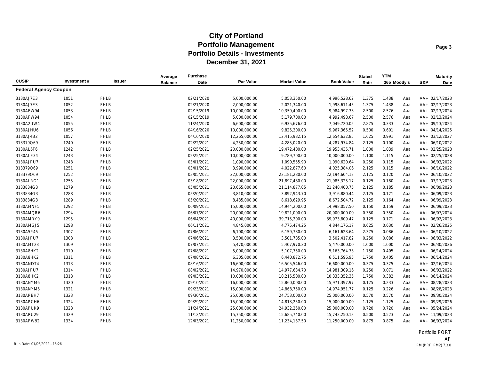|                              |             |             | Average        | Purchase   |               |                     |                   | <b>Stated</b> | <b>YTM</b>  |     |     | <b>Maturity</b> |
|------------------------------|-------------|-------------|----------------|------------|---------------|---------------------|-------------------|---------------|-------------|-----|-----|-----------------|
| <b>CUSIP</b>                 | Investment# | Issuer      | <b>Balance</b> | Date       | Par Value     | <b>Market Value</b> | <b>Book Value</b> | Rate          | 365 Moody's |     | S&P | Date            |
| <b>Federal Agency Coupon</b> |             |             |                |            |               |                     |                   |               |             |     |     |                 |
| 3130AJ7E3                    | 1051        | <b>FHLB</b> |                | 02/21/2020 | 5,000,000.00  | 5,053,350.00        | 4,996,528.62      | 1.375         | 1.438       | Aaa |     | AA+ 02/17/2023  |
| 3130AJ7E3                    | 1052        | <b>FHLB</b> |                | 02/21/2020 | 2,000,000.00  | 2,021,340.00        | 1,998,611.45      | 1.375         | 1.438       | Aaa |     | AA+ 02/17/2023  |
| 3130AFW94                    | 1053        | <b>FHLB</b> |                | 02/15/2019 | 10,000,000.00 | 10,359,400.00       | 9,984,997.33      | 2.500         | 2.576       | Aaa |     | AA+ 02/13/2024  |
| 3130AFW94                    | 1054        | <b>FHLB</b> |                | 02/15/2019 | 5,000,000.00  | 5,179,700.00        | 4,992,498.67      | 2.500         | 2.576       | Aaa |     | AA+ 02/13/2024  |
| 3130A2UW4                    | 1055        | <b>FHLB</b> |                | 11/24/2020 | 6,600,000.00  | 6,935,676.00        | 7,049,720.05      | 2.875         | 0.333       | Aaa |     | AA+ 09/13/2024  |
| 3130AJHU6                    | 1056        | <b>FHLB</b> |                | 04/16/2020 | 10,000,000.00 | 9,825,200.00        | 9,967,365.52      | 0.500         | 0.601       | Aaa |     | AA+ 04/14/2025  |
| 3130AJ4B2                    | 1057        | <b>FHLB</b> |                | 04/16/2020 | 12,265,000.00 | 12,415,982.15       | 12,654,632.85     | 1.625         | 0.991       | Aaa |     | AA+ 03/12/2027  |
| 313379Q69                    | 1240        | <b>FHLB</b> |                | 02/22/2021 | 4,250,000.00  | 4,285,020.00        | 4,287,974.84      | 2.125         | 0.100       | Aaa |     | AA+ 06/10/2022  |
| 3130AL6F6                    | 1242        | <b>FHLB</b> |                | 02/25/2021 | 20,000,000.00 | 19,472,400.00       | 19,953,435.71     | 1.000         | 1.039       | Aaa |     | AA+ 02/25/2028  |
| 3130ALE34                    | 1243        | <b>FHLB</b> |                | 02/25/2021 | 10,000,000.00 | 9,789,700.00        | 10,000,000.00     | 1.100         | 1.115       | Aaa |     | AA+ 02/25/2028  |
| 3130AJPU7                    | 1248        | <b>FHLB</b> |                | 03/01/2021 | 1,090,000.00  | 1,090,555.90        | 1,090,620.64      | 0.250         | 0.115       | Aaa |     | AA+ 06/03/2022  |
| 313379Q69                    | 1251        | <b>FHLB</b> |                | 03/01/2021 | 3,990,000.00  | 4,022,877.60        | 4,025,384.06      | 2.125         | 0.115       | Aaa |     | AA+ 06/10/2022  |
| 313379Q69                    | 1252        | <b>FHLB</b> |                | 03/05/2021 | 22,000,000.00 | 22,181,280.00       | 22,194,604.12     | 2.125         | 0.120       | Aaa |     | AA+ 06/10/2022  |
| 3130ALRG1                    | 1255        | <b>FHLB</b> |                | 03/18/2021 | 22,000,000.00 | 21,897,480.00       | 21,985,325.17     | 0.125         | 0.180       | Aaa |     | AA+ 03/17/2023  |
| 3133834G3                    | 1279        | <b>FHLB</b> |                | 05/05/2021 | 20,665,000.00 | 21,114,877.05       | 21,240,400.75     | 2.125         | 0.185       | Aaa |     | AA+ 06/09/2023  |
| 3133834G3                    | 1288        | <b>FHLB</b> |                | 05/20/2021 | 3,810,000.00  | 3,892,943.70        | 3,916,880.44      | 2.125         | 0.171       | Aaa |     | AA+ 06/09/2023  |
| 3133834G3                    | 1289        | <b>FHLB</b> |                | 05/20/2021 | 8,435,000.00  | 8,618,629.95        | 8,672,504.72      | 2.125         | 0.164       | Aaa |     | AA+ 06/09/2023  |
| 3130AMNF5                    | 1292        | <b>FHLB</b> |                | 06/09/2021 | 15,000,000.00 | 14,944,200.00       | 14,998,057.50     | 0.150         | 0.159       | Aaa |     | AA+ 06/09/2023  |
| 3130AMQR6                    | 1294        | <b>FHLB</b> |                | 06/07/2021 | 20,000,000.00 | 19,821,000.00       | 20,000,000.00     | 0.350         | 0.350       | Aaa |     | AA+ 06/07/2024  |
| 3130AMRY0                    | 1295        | <b>FHLB</b> |                | 06/04/2021 | 40,000,000.00 | 39,715,200.00       | 39,973,809.47     | 0.125         | 0.171       | Aaa |     | AA+ 06/02/2023  |
| 3130AMGJ5                    | 1298        | <b>FHLB</b> |                | 06/11/2021 | 4,845,000.00  | 4,775,474.25        | 4,844,176.17      | 0.625         | 0.630       | Aaa |     | AA+ 02/26/2025  |
| 3130A5P45                    | 1307        | <b>FHLB</b> |                | 07/06/2021 | 6,100,000.00  | 6,159,780.00        | 6,161,623.64      | 2.375         | 0.086       | Aaa |     | AA+ 06/10/2022  |
| 3130AJPU7                    | 1308        | <b>FHLB</b> |                | 07/06/2021 | 3,500,000.00  | 3,501,785.00        | 3,502,417.82      | 0.250         | 0.086       | Aaa |     | AA+ 06/03/2022  |
| 3130AMT28                    | 1309        | <b>FHLB</b> |                | 07/07/2021 | 5,470,000.00  | 5,407,970.20        | 5,470,000.00      | 1.000         | 1.000       | Aaa |     | AA+ 06/30/2026  |
| 3130A8HK2                    | 1310        | <b>FHLB</b> |                | 07/08/2021 | 5,000,000.00  | 5,107,750.00        | 5,163,764.73      | 1.750         | 0.405       | Aaa |     | AA+ 06/14/2024  |
| 3130A8HK2                    | 1311        | <b>FHLB</b> |                | 07/08/2021 | 6,305,000.00  | 6,440,872.75        | 6,511,596.95      | 1.750         | 0.405       | Aaa |     | AA+ 06/14/2024  |
| 3130ANDT4                    | 1313        | <b>FHLB</b> |                | 08/16/2021 | 16,600,000.00 | 16,505,546.00       | 16,600,000.00     | 0.375         | 0.375       | Aaa |     | AA+ 02/16/2024  |
| 3130AJPU7                    | 1314        | <b>FHLB</b> |                | 08/02/2021 | 14,970,000.00 | 14,977,634.70       | 14,981,309.16     | 0.250         | 0.071       | Aaa |     | AA+ 06/03/2022  |
| 3130A8HK2                    | 1318        | <b>FHLB</b> |                | 09/03/2021 | 10,000,000.00 | 10,215,500.00       | 10,333,352.35     | 1.750         | 0.382       | Aaa |     | AA+ 06/14/2024  |
| 3130ANYM6                    | 1320        | <b>FHLB</b> |                | 09/10/2021 | 16,000,000.00 | 15,860,000.00       | 15,971,397.97     | 0.125         | 0.233       | Aaa |     | AA+ 08/28/2023  |
| 3130ANYM6                    | 1321        | <b>FHLB</b> |                | 09/23/2021 | 15,000,000.00 | 14,868,750.00       | 14,974,951.77     | 0.125         | 0.226       | Aaa |     | AA+ 08/28/2023  |
| 3130APBH7                    | 1323        | <b>FHLB</b> |                | 09/30/2021 | 25,000,000.00 | 24,753,000.00       | 25,000,000.00     | 0.570         | 0.570       | Aaa |     | AA+ 09/30/2024  |
| 3130APCH6                    | 1324        | <b>FHLB</b> |                | 09/29/2021 | 15,000,000.00 | 14,813,250.00       | 15,000,000.00     | 1.125         | 1.125       | Aaa |     | AA+ 09/29/2026  |
| 3130APUK9                    | 1328        | <b>FHLB</b> |                | 11/24/2021 | 25,000,000.00 | 24,932,250.00       | 25,000,000.00     | 0.720         | 0.720       | Aaa |     | AA+ 05/24/2024  |
| 3130APU29                    | 1329        | <b>FHLB</b> |                | 11/12/2021 | 15,750,000.00 | 15,685,740.00       | 15,743,250.13     | 0.500         | 0.523       | Aaa |     | AA+ 11/09/2023  |
| 3130APW92                    | 1334        | <b>FHLB</b> |                | 12/03/2021 | 11,250,000.00 | 11,234,137.50       | 11,250,000.00     | 0.875         | 0.875       | Aaa |     | AA+ 06/03/2024  |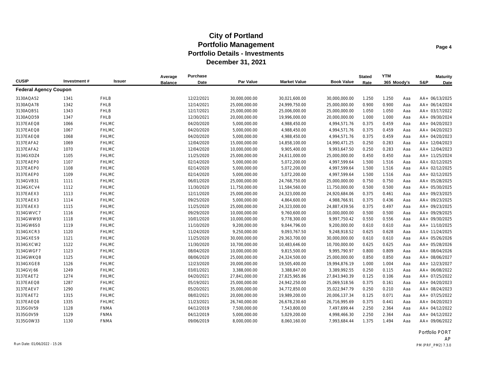|                              |             |              | Average        | Purchase   |               |                     |                   | <b>Stated</b> | <b>YTM</b>  |     |     | <b>Maturity</b> |
|------------------------------|-------------|--------------|----------------|------------|---------------|---------------------|-------------------|---------------|-------------|-----|-----|-----------------|
| <b>CUSIP</b>                 | Investment# | Issuer       | <b>Balance</b> | Date       | Par Value     | <b>Market Value</b> | <b>Book Value</b> | Rate          | 365 Moody's |     | S&P | <b>Date</b>     |
| <b>Federal Agency Coupon</b> |             |              |                |            |               |                     |                   |               |             |     |     |                 |
| 3130AQA52                    | 1341        | <b>FHLB</b>  |                | 12/22/2021 | 30,000,000.00 | 30,021,600.00       | 30,000,000.00     | 1.250         | 1.250       | Aaa |     | AA+ 06/13/2025  |
| 3130AQA78                    | 1342        | <b>FHLB</b>  |                | 12/14/2021 | 25,000,000.00 | 24,999,750.00       | 25,000,000.00     | 0.900         | 0.900       | Aaa |     | AA+ 06/14/2024  |
| 3130AQB51                    | 1343        | <b>FHLB</b>  |                | 12/17/2021 | 25,000,000.00 | 25,006,000.00       | 25,000,000.00     | 1.050         | 1.050       | Aaa |     | AA+ 03/17/2022  |
| 3130AQD59                    | 1347        | <b>FHLB</b>  |                | 12/30/2021 | 20,000,000.00 | 19,996,000.00       | 20,000,000.00     | 1.000         | 1.000       | Aaa |     | AA+ 09/30/2024  |
| 3137EAEQ8                    | 1066        | <b>FHLMC</b> |                | 04/20/2020 | 5,000,000.00  | 4,988,450.00        | 4,994,571.76      | 0.375         | 0.459       | Aaa |     | AA+ 04/20/2023  |
| 3137EAEQ8                    | 1067        | <b>FHLMC</b> |                | 04/20/2020 | 5,000,000.00  | 4,988,450.00        | 4,994,571.76      | 0.375         | 0.459       | Aaa |     | AA+ 04/20/2023  |
| 3137EAEQ8                    | 1068        | <b>FHLMC</b> |                | 04/20/2020 | 5,000,000.00  | 4,988,450.00        | 4,994,571.76      | 0.375         | 0.459       | Aaa |     | AA+ 04/20/2023  |
| 3137EAFA2                    | 1069        | <b>FHLMC</b> |                | 12/04/2020 | 15,000,000.00 | 14,858,100.00       | 14,990,471.25     | 0.250         | 0.283       | Aaa |     | AA+ 12/04/2023  |
| 3137EAFA2                    | 1070        | <b>FHLMC</b> |                | 12/04/2020 | 10,000,000.00 | 9,905,400.00        | 9,993,647.50      | 0.250         | 0.283       | Aaa |     | AA+ 12/04/2023  |
| 3134GXDZ4                    | 1105        | <b>FHLMC</b> |                | 11/25/2020 | 25,000,000.00 | 24,611,000.00       | 25,000,000.00     | 0.450         | 0.450       | Aaa |     | AA+ 11/25/2024  |
| 3137EAEP0                    | 1107        | <b>FHLMC</b> |                | 02/14/2020 | 5,000,000.00  | 5,072,200.00        | 4,997,599.64      | 1.500         | 1.516       | Aaa |     | AA+ 02/12/2025  |
| 3137EAEP0                    | 1108        | <b>FHLMC</b> |                | 02/14/2020 | 5,000,000.00  | 5,072,200.00        | 4,997,599.64      | 1.500         | 1.516       | Aaa |     | AA+ 02/12/2025  |
| 3137EAEP0                    | 1109        | <b>FHLMC</b> |                | 02/14/2020 | 5,000,000.00  | 5,072,200.00        | 4,997,599.64      | 1.500         | 1.516       | Aaa |     | AA+ 02/12/2025  |
| 3134GVB31                    | 1111        | <b>FHLMC</b> |                | 06/01/2020 | 25,000,000.00 | 24,768,750.00       | 25,000,000.00     | 0.750         | 0.750       | Aaa |     | AA+ 05/28/2025  |
| 3134GXCV4                    | 1112        | <b>FHLMC</b> |                | 11/30/2020 | 11,750,000.00 | 11,584,560.00       | 11,750,000.00     | 0.500         | 0.500       | Aaa |     | AA+ 05/30/2025  |
| 3137EAEX3                    | 1113        | <b>FHLMC</b> |                | 12/11/2020 | 25,000,000.00 | 24,323,000.00       | 24,920,684.06     | 0.375         | 0.461       | Aaa |     | AA+ 09/23/2025  |
| 3137EAEX3                    | 1114        | <b>FHLMC</b> |                | 09/25/2020 | 5,000,000.00  | 4,864,600.00        | 4,988,766.91      | 0.375         | 0.436       | Aaa |     | AA+ 09/23/2025  |
| 3137EAEX3                    | 1115        | <b>FHLMC</b> |                | 11/25/2020 | 25,000,000.00 | 24,323,000.00       | 24,887,439.56     | 0.375         | 0.497       | Aaa |     | AA+ 09/23/2025  |
| 3134GWVC7                    | 1116        | <b>FHLMC</b> |                | 09/29/2020 | 10,000,000.00 | 9,760,600.00        | 10,000,000.00     | 0.500         | 0.500       | Aaa |     | AA+ 09/29/2025  |
| 3134GWW93                    | 1118        | <b>FHLMC</b> |                | 10/01/2020 | 10,000,000.00 | 9,778,300.00        | 9,997,750.42      | 0.550         | 0.556       | Aaa |     | AA+ 09/30/2025  |
| 3134GW6S0                    | 1119        | <b>FHLMC</b> |                | 11/10/2020 | 9,200,000.00  | 9,044,796.00        | 9,200,000.00      | 0.610         | 0.610       | Aaa |     | AA+ 11/10/2025  |
| 3134GXCR3                    | 1120        | <b>FHLMC</b> |                | 11/24/2020 | 9,250,000.00  | 9,093,767.50        | 9,248,918.52      | 0.625         | 0.628       | Aaa |     | AA+ 11/24/2025  |
| 3134GXES9                    | 1121        | <b>FHLMC</b> |                | 11/25/2020 | 30,000,000.00 | 29,363,700.00       | 30,000,000.00     | 0.610         | 0.610       | Aaa |     | AA+ 05/26/2026  |
| 3134GXCW2                    | 1122        | <b>FHLMC</b> |                | 11/30/2020 | 10,700,000.00 | 10,483,646.00       | 10,700,000.00     | 0.625         | 0.625       | Aaa |     | AA+ 05/28/2026  |
| 3134GWGF7                    | 1123        | <b>FHLMC</b> |                | 08/04/2020 | 10,000,000.00 | 9,815,500.00        | 9,995,790.97      | 0.800         | 0.809       | Aaa |     | AA+ 08/04/2026  |
| 3134GWKQ8                    | 1125        | <b>FHLMC</b> |                | 08/06/2020 | 25,000,000.00 | 24,324,500.00       | 25,000,000.00     | 0.850         | 0.850       | Aaa |     | AA+ 08/06/2027  |
| 3134GXGE8                    | 1126        | <b>FHLMC</b> |                | 12/23/2020 | 20,000,000.00 | 19,505,400.00       | 19,994,876.19     | 1.000         | 1.004       | Aaa |     | AA+ 12/23/2027  |
| 3134GVJ66                    | 1249        | <b>FHLMC</b> |                | 03/01/2021 | 3,388,000.00  | 3,388,847.00        | 3,389,992.55      | 0.250         | 0.115       | Aaa |     | AA+ 06/08/2022  |
| 3137EAET2                    | 1274        | <b>FHLMC</b> |                | 04/20/2021 | 27,841,000.00 | 27,825,965.86       | 27,843,940.39     | 0.125         | 0.106       | Aaa |     | AA+ 07/25/2022  |
| 3137EAEQ8                    | 1287        | <b>FHLMC</b> |                | 05/19/2021 | 25,000,000.00 | 24,942,250.00       | 25,069,518.56     | 0.375         | 0.161       | Aaa |     | AA+ 04/20/2023  |
| 3137EAEV7                    | 1290        | <b>FHLMC</b> |                | 05/20/2021 | 35,000,000.00 | 34,772,850.00       | 35,022,947.79     | 0.250         | 0.210       | Aaa |     | AA+ 08/24/2023  |
| 3137EAET2                    | 1315        | <b>FHLMC</b> |                | 08/02/2021 | 20,000,000.00 | 19,989,200.00       | 20,006,137.34     | 0.125         | 0.071       | Aaa |     | AA+ 07/25/2022  |
| 3137EAEQ8                    | 1335        | <b>FHLMC</b> |                | 11/23/2021 | 26,740,000.00 | 26,678,230.60       | 26,716,995.69     | 0.375         | 0.441       | Aaa |     | AA+ 04/20/2023  |
| 3135G0V59                    | 1128        | <b>FNMA</b>  |                | 04/12/2019 | 7,500,000.00  | 7,543,800.00        | 7,497,699.44      | 2.250         | 2.364       | Aaa |     | AA+ 04/12/2022  |
| 3135G0V59                    | 1129        | <b>FNMA</b>  |                | 04/12/2019 | 5,000,000.00  | 5,029,200.00        | 4,998,466.30      | 2.250         | 2.364       | Aaa |     | AA+ 04/12/2022  |
| 3135G0W33                    | 1130        | <b>FNMA</b>  |                | 09/06/2019 | 8,000,000.00  | 8,060,160.00        | 7,993,684.44      | 1.375         | 1.494       | Aaa |     | AA+ 09/06/2022  |

Portfolio PORT AP Run Date: 01/06/2022 - 15:26 PM (PRF\_PM2) 7.3.0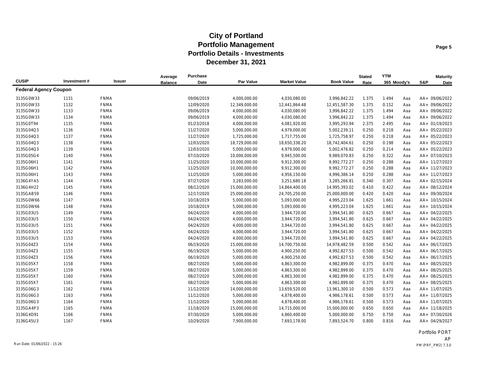|                              |             |               | Average        | Purchase   |                  |                     |                   | <b>Stated</b> | <b>YTM</b>  |     |     | <b>Maturity</b> |
|------------------------------|-------------|---------------|----------------|------------|------------------|---------------------|-------------------|---------------|-------------|-----|-----|-----------------|
| <b>CUSIP</b>                 | Investment# | <b>Issuer</b> | <b>Balance</b> | Date       | <b>Par Value</b> | <b>Market Value</b> | <b>Book Value</b> | Rate          | 365 Moody's |     | S&P | Date            |
| <b>Federal Agency Coupon</b> |             |               |                |            |                  |                     |                   |               |             |     |     |                 |
| 3135G0W33                    | 1131        | <b>FNMA</b>   |                | 09/06/2019 | 4,000,000.00     | 4,030,080.00        | 3,996,842.22      | 1.375         | 1.494       | Aaa |     | AA+ 09/06/2022  |
| 3135G0W33                    | 1132        | <b>FNMA</b>   |                | 12/09/2020 | 12,349,000.00    | 12,441,864.48       | 12,451,587.30     | 1.375         | 0.152       | Aaa |     | AA+ 09/06/2022  |
| 3135G0W33                    | 1133        | <b>FNMA</b>   |                | 09/06/2019 | 4,000,000.00     | 4,030,080.00        | 3,996,842.22      | 1.375         | 1.494       | Aaa |     | AA+ 09/06/2022  |
| 3135G0W33                    | 1134        | <b>FNMA</b>   |                | 09/06/2019 | 4,000,000.00     | 4,030,080.00        | 3,996,842.22      | 1.375         | 1.494       | Aaa |     | AA+ 09/06/2022  |
| 3135G0T94                    | 1135        | <b>FNMA</b>   |                | 01/23/2018 | 4,000,000.00     | 4,081,920.00        | 3,995,293.94      | 2.375         | 2.495       | Aaa |     | AA+ 01/19/2023  |
| 3135G04Q3                    | 1136        | <b>FNMA</b>   |                | 11/27/2020 | 5,000,000.00     | 4,979,000.00        | 5,002,239.11      | 0.250         | 0.218       | Aaa |     | AA+ 05/22/2023  |
| 3135G04Q3                    | 1137        | <b>FNMA</b>   |                | 11/27/2020 | 1,725,000.00     | 1,717,755.00        | 1,725,758.97      | 0.250         | 0.218       | Aaa |     | AA+ 05/22/2023  |
| 3135G04Q3                    | 1138        | <b>FNMA</b>   |                | 12/03/2020 | 18,729,000.00    | 18,650,338.20       | 18,742,404.61     | 0.250         | 0.198       | Aaa |     | AA+ 05/22/2023  |
| 3135G04Q3                    | 1139        | <b>FNMA</b>   |                | 12/03/2020 | 5,000,000.00     | 4,979,000.00        | 5,002,476.82      | 0.250         | 0.214       | Aaa |     | AA+ 05/22/2023  |
| 3135G05G4                    | 1140        | <b>FNMA</b>   |                | 07/10/2020 | 10,000,000.00    | 9,945,500.00        | 9,989,070.83      | 0.250         | 0.322       | Aaa |     | AA+ 07/10/2023  |
| 3135G06H1                    | 1141        | <b>FNMA</b>   |                | 11/25/2020 | 10,000,000.00    | 9,912,300.00        | 9,992,772.27      | 0.250         | 0.288       | Aaa |     | AA+ 11/27/2023  |
| 3135G06H1                    | 1142        | <b>FNMA</b>   |                | 11/25/2020 | 10,000,000.00    | 9,912,300.00        | 9,992,772.27      | 0.250         | 0.288       | Aaa |     | AA+ 11/27/2023  |
| 3135G06H1                    | 1143        | <b>FNMA</b>   |                | 11/25/2020 | 5,000,000.00     | 4,956,150.00        | 4,996,386.14      | 0.250         | 0.288       | Aaa |     | AA+ 11/27/2023  |
| 3136G4YA5                    | 1144        | <b>FNMA</b>   |                | 07/27/2020 | 3,283,000.00     | 3,251,680.18        | 3,285,266.81      | 0.340         | 0.307       | Aaa |     | AA+ 02/15/2024  |
| 3136G4H22                    | 1145        | <b>FNMA</b>   |                | 08/12/2020 | 15,000,000.00    | 14,864,400.00       | 14,995,393.02     | 0.410         | 0.422       | Aaa |     | AA+ 08/12/2024  |
| 3135GAB59                    | 1146        | <b>FNMA</b>   |                | 12/17/2020 | 25,000,000.00    | 24,705,250.00       | 25,000,000.00     | 0.420         | 0.420       | Aaa |     | AA+ 09/30/2024  |
| 3135G0W66                    | 1147        | <b>FNMA</b>   |                | 10/18/2019 | 5,000,000.00     | 5,093,000.00        | 4,995,223.04      | 1.625         | 1.661       | Aaa |     | AA+ 10/15/2024  |
| 3135G0W66                    | 1148        | <b>FNMA</b>   |                | 10/18/2019 | 5,000,000.00     | 5,093,000.00        | 4,995,223.04      | 1.625         | 1.661       | Aaa |     | AA+ 10/15/2024  |
| 3135G03U5                    | 1149        | <b>FNMA</b>   |                | 04/24/2020 | 4,000,000.00     | 3,944,720.00        | 3,994,541.80      | 0.625         | 0.667       | Aaa |     | AA+ 04/22/2025  |
| 3135G03U5                    | 1150        | <b>FNMA</b>   |                | 04/24/2020 | 4,000,000.00     | 3,944,720.00        | 3,994,541.80      | 0.625         | 0.667       | Aaa |     | AA+ 04/22/2025  |
| 3135G03U5                    | 1151        | <b>FNMA</b>   |                | 04/24/2020 | 4,000,000.00     | 3,944,720.00        | 3,994,541.80      | 0.625         | 0.667       | Aaa |     | AA+ 04/22/2025  |
| 3135G03U5                    | 1152        | <b>FNMA</b>   |                | 04/24/2020 | 4,000,000.00     | 3,944,720.00        | 3,994,541.80      | 0.625         | 0.667       | Aaa |     | AA+ 04/22/2025  |
| 3135G03U5                    | 1153        | <b>FNMA</b>   |                | 04/24/2020 | 4,000,000.00     | 3,944,720.00        | 3,994,541.80      | 0.625         | 0.667       | Aaa |     | AA+ 04/22/2025  |
| 3135G04Z3                    | 1154        | <b>FNMA</b>   |                | 06/19/2020 | 15,000,000.00    | 14,700,750.00       | 14,978,482.59     | 0.500         | 0.542       | Aaa |     | AA+ 06/17/2025  |
| 3135G04Z3                    | 1155        | <b>FNMA</b>   |                | 06/19/2020 | 5,000,000.00     | 4,900,250.00        | 4,992,827.53      | 0.500         | 0.542       | Aaa |     | AA+ 06/17/2025  |
| 3135G04Z3                    | 1156        | <b>FNMA</b>   |                | 06/19/2020 | 5,000,000.00     | 4,900,250.00        | 4,992,827.53      | 0.500         | 0.542       | Aaa |     | AA+ 06/17/2025  |
| 3135G05X7                    | 1158        | <b>FNMA</b>   |                | 08/27/2020 | 5,000,000.00     | 4,863,300.00        | 4,982,899.00      | 0.375         | 0.470       | Aaa |     | AA+ 08/25/2025  |
| 3135G05X7                    | 1159        | <b>FNMA</b>   |                | 08/27/2020 | 5,000,000.00     | 4,863,300.00        | 4,982,899.00      | 0.375         | 0.470       | Aaa |     | AA+ 08/25/2025  |
| 3135G05X7                    | 1160        | <b>FNMA</b>   |                | 08/27/2020 | 5,000,000.00     | 4,863,300.00        | 4,982,899.00      | 0.375         | 0.470       | Aaa |     | AA+ 08/25/2025  |
| 3135G05X7                    | 1161        | <b>FNMA</b>   |                | 08/27/2020 | 5,000,000.00     | 4,863,300.00        | 4,982,899.00      | 0.375         | 0.470       | Aaa |     | AA+ 08/25/2025  |
| 3135G06G3                    | 1162        | <b>FNMA</b>   |                | 11/12/2020 | 14,000,000.00    | 13,659,520.00       | 13,961,300.10     | 0.500         | 0.573       | Aaa |     | AA+ 11/07/2025  |
| 3135G06G3                    | 1163        | <b>FNMA</b>   |                | 11/12/2020 | 5,000,000.00     | 4,878,400.00        | 4,986,178.61      | 0.500         | 0.573       | Aaa |     | AA+ 11/07/2025  |
| 3135G06G3                    | 1164        | <b>FNMA</b>   |                | 11/12/2020 | 5,000,000.00     | 4,878,400.00        | 4,986,178.61      | 0.500         | 0.573       | Aaa |     | AA+ 11/07/2025  |
| 3135GA4P3                    | 1165        | <b>FNMA</b>   |                | 11/18/2020 | 15,000,000.00    | 14,715,000.00       | 15,000,000.00     | 0.650         | 0.650       | Aaa |     | AA+ 11/18/2025  |
| 3136G4D91                    | 1166        | <b>FNMA</b>   |                | 07/30/2020 | 5,000,000.00     | 4,860,400.00        | 5,000,000.00      | 0.750         | 0.750       | Aaa |     | AA+ 07/30/2026  |
| 3136G45U3                    | 1167        | <b>FNMA</b>   |                | 10/29/2020 | 7,900,000.00     | 7,693,178.00        | 7,893,524.70      | 0.800         | 0.816       | Aaa |     | AA+ 04/29/2027  |

Portfolio PORT AP Run Date: 01/06/2022 - 15:26 PM (PRF\_PM2) 7.3.0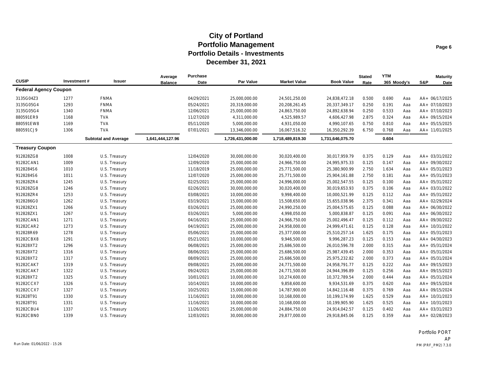| <b>CUSIP</b>                 | Investment# | Issuer                      | Average<br><b>Balance</b> | <b>Purchase</b><br>Date | Par Value        | <b>Market Value</b> | <b>Book Value</b> | <b>Stated</b><br>Rate | <b>YTM</b><br>365 Moody's |     | S&P | <b>Maturity</b> |
|------------------------------|-------------|-----------------------------|---------------------------|-------------------------|------------------|---------------------|-------------------|-----------------------|---------------------------|-----|-----|-----------------|
| <b>Federal Agency Coupon</b> |             |                             |                           |                         |                  |                     |                   |                       |                           |     |     | Date            |
| 3135G04Z3                    | 1277        | <b>FNMA</b>                 |                           | 04/29/2021              | 25,000,000.00    | 24,501,250.00       | 24,838,472.18     | 0.500                 | 0.690                     | Aaa |     | AA+ 06/17/2025  |
| 3135G05G4                    | 1293        | <b>FNMA</b>                 |                           | 05/24/2021              | 20,319,000.00    | 20,208,261.45       | 20,337,349.17     | 0.250                 | 0.191                     | Aaa |     | AA+ 07/10/2023  |
| 3135G05G4                    | 1340        | <b>FNMA</b>                 |                           | 12/06/2021              | 25,000,000.00    | 24,863,750.00       | 24,892,638.94     | 0.250                 | 0.533                     | Aaa |     | AA+ 07/10/2023  |
| 880591ER9                    | 1168        | <b>TVA</b>                  |                           | 11/27/2020              | 4,311,000.00     | 4,525,989.57        | 4,606,427.98      | 2.875                 | 0.324                     | Aaa |     | AA+ 09/15/2024  |
| 880591EW8                    | 1169        | <b>TVA</b>                  |                           | 05/11/2020              | 5,000,000.00     | 4,931,050.00        | 4,990,107.65      | 0.750                 | 0.810                     | Aaa |     | AA+ 05/15/2025  |
| 880591CJ9                    | 1306        | <b>TVA</b>                  |                           | 07/01/2021              | 13,346,000.00    | 16,067,516.32       | 16,350,292.39     | 6.750                 | 0.768                     | Aaa |     | AA+ 11/01/2025  |
|                              |             | <b>Subtotal and Average</b> | 1,641,444,127.96          |                         | 1,726,431,000.00 | 1,718,489,819.30    | 1,731,646,075.70  |                       | 0.604                     |     |     |                 |
| <b>Treasury Coupon</b>       |             |                             |                           |                         |                  |                     |                   |                       |                           |     |     |                 |
| 912828ZG8                    | 1008        | U.S. Treasury               |                           | 12/04/2020              | 30,000,000.00    | 30,020,400.00       | 30,017,959.79     | 0.375                 | 0.129                     | Aaa |     | AA+ 03/31/2022  |
| 91282CAN1                    | 1009        | U.S. Treasury               |                           | 12/09/2020              | 25,000,000.00    | 24,966,750.00       | 24,995,975.33     | 0.125                 | 0.147                     | Aaa |     | AA+ 09/30/2022  |
| 9128284S6                    | 1010        | U.S. Treasury               |                           | 11/18/2019              | 25,000,000.00    | 25,771,500.00       | 25,380,900.99     | 2.750                 | 1.634                     | Aaa |     | AA+ 05/31/2023  |
| 9128284S6                    | 1011        | U.S. Treasury               |                           | 12/07/2020              | 25,000,000.00    | 25,771,500.00       | 25,904,161.88     | 2.750                 | 0.181                     | Aaa |     | AA+ 05/31/2023  |
| 912828ZR4                    | 1245        | U.S. Treasury               |                           | 02/25/2021              | 25,000,000.00    | 24,996,000.00       | 25,002,547.55     | 0.125                 | 0.100                     | Aaa |     | AA+ 05/31/2022  |
| 912828ZG8                    | 1246        | U.S. Treasury               |                           | 02/26/2021              | 30,000,000.00    | 30,020,400.00       | 30,019,653.93     | 0.375                 | 0.106                     | Aaa |     | AA+ 03/31/2022  |
| 912828ZR4                    | 1253        | U.S. Treasury               |                           | 03/08/2021              | 10,000,000.00    | 9,998,400.00        | 10,000,521.99     | 0.125                 | 0.112                     | Aaa |     | AA+ 05/31/2022  |
| 9128286G0                    | 1262        | U.S. Treasury               |                           | 03/19/2021              | 15,000,000.00    | 15,508,650.00       | 15,655,038.96     | 2.375                 | 0.341                     | Aaa |     | AA+ 02/29/2024  |
| 912828ZX1                    | 1266        | U.S. Treasury               |                           | 03/26/2021              | 25,000,000.00    | 24,990,250.00       | 25,004,575.65     | 0.125                 | 0.088                     | Aaa |     | AA+ 06/30/2022  |
| 912828ZX1                    | 1267        | U.S. Treasury               |                           | 03/26/2021              | 5,000,000.00     | 4,998,050.00        | 5,000,838.87      | 0.125                 | 0.091                     | Aaa |     | AA+ 06/30/2022  |
| 91282CAN1                    | 1271        | U.S. Treasury               |                           | 04/16/2021              | 25,000,000.00    | 24,966,750.00       | 25,002,496.47     | 0.125                 | 0.112                     | Aaa |     | AA+ 09/30/2022  |
| 91282CAR2                    | 1273        | U.S. Treasury               |                           | 04/19/2021              | 25,000,000.00    | 24,958,000.00       | 24,999,471.61     | 0.125                 | 0.128                     | Aaa |     | AA+ 10/31/2022  |
| 912828R69                    | 1278        | U.S. Treasury               |                           | 05/06/2021              | 25,000,000.00    | 25,377,000.00       | 25,510,257.14     | 1.625                 | 0.175                     | Aaa |     | AA+ 05/31/2023  |
| 91282CBX8                    | 1291        | U.S. Treasury               |                           | 05/21/2021              | 10,000,000.00    | 9,946,500.00        | 9,996,287.23      | 0.125                 | 0.153                     | Aaa |     | AA+ 04/30/2023  |
| 912828XT2                    | 1296        | U.S. Treasury               |                           | 06/08/2021              | 25,000,000.00    | 25,686,500.00       | 26,010,596.78     | 2.000                 | 0.315                     | Aaa |     | AA+ 05/31/2024  |
| 912828XT2                    | 1316        | U.S. Treasury               |                           | 08/06/2021              | 25,000,000.00    | 25,686,500.00       | 25,987,439.45     | 2.000                 | 0.353                     | Aaa |     | AA+ 05/31/2024  |
| 912828XT2                    | 1317        | U.S. Treasury               |                           | 08/09/2021              | 25,000,000.00    | 25,686,500.00       | 25,975,232.82     | 2.000                 | 0.373                     | Aaa |     | AA+ 05/31/2024  |
| 91282CAK7                    | 1319        | U.S. Treasury               |                           | 09/08/2021              | 25,000,000.00    | 24,771,500.00       | 24,958,791.77     | 0.125                 | 0.222                     | Aaa |     | AA+ 09/15/2023  |
| 91282CAK7                    | 1322        | U.S. Treasury               |                           | 09/24/2021              | 25,000,000.00    | 24,771,500.00       | 24,944,396.89     | 0.125                 | 0.256                     | Aaa |     | AA+ 09/15/2023  |
| 912828XT2                    | 1325        | U.S. Treasury               |                           | 10/01/2021              | 10,000,000.00    | 10,274,600.00       | 10,372,789.54     | 2.000                 | 0.444                     | Aaa |     | AA+ 05/31/2024  |
| 91282CCX7                    | 1326        | U.S. Treasury               |                           | 10/14/2021              | 10,000,000.00    | 9,858,600.00        | 9,934,531.69      | 0.375                 | 0.620                     | Aaa |     | AA+ 09/15/2024  |
| 91282CCX7                    | 1327        | U.S. Treasury               |                           | 10/25/2021              | 15,000,000.00    | 14,787,900.00       | 14,842,116.48     | 0.375                 | 0.769                     | Aaa |     | AA+ 09/15/2024  |
| 912828T91                    | 1330        | U.S. Treasury               |                           | 11/16/2021              | 10,000,000.00    | 10,168,000.00       | 10,199,174.99     | 1.625                 | 0.529                     | Aaa |     | AA+ 10/31/2023  |
| 912828T91                    | 1331        | U.S. Treasury               |                           | 11/16/2021              | 10,000,000.00    | 10,168,000.00       | 10,199,905.90     | 1.625                 | 0.525                     | Aaa |     | AA+ 10/31/2023  |
| 91282CBU4                    | 1337        | U.S. Treasury               |                           | 11/26/2021              | 25,000,000.00    | 24,884,750.00       | 24,914,042.57     | 0.125                 | 0.402                     | Aaa |     | AA+ 03/31/2023  |
| 91282CBN0                    | 1339        | U.S. Treasury               |                           | 12/03/2021              | 30,000,000.00    | 29,877,000.00       | 29,918,845.06     | 0.125                 | 0.359                     | Aaa |     | AA+ 02/28/2023  |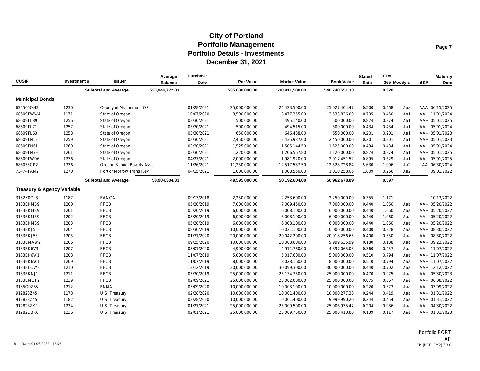| <b>CUSIP</b>                          | Investment# | Issuer                      | Average<br><b>Balance</b> | <b>Purchase</b><br>Date | Par Value      | <b>Market Value</b> | <b>Book Value</b> | <b>Stated</b><br>Rate | <b>YTM</b><br>365 Moody's |     | S&P | <b>Maturity</b><br>Date |
|---------------------------------------|-------------|-----------------------------|---------------------------|-------------------------|----------------|---------------------|-------------------|-----------------------|---------------------------|-----|-----|-------------------------|
|                                       |             | <b>Subtotal and Average</b> | 538,944,772.83            |                         | 535,000,000.00 | 538,911,500.00      | 540,748,551.33    |                       | 0.320                     |     |     |                         |
| <b>Municipal Bonds</b>                |             |                             |                           |                         |                |                     |                   |                       |                           |     |     |                         |
| 625506QN3                             | 1230        | County of Multnomah, OR     |                           | 01/28/2021              | 25,000,000.00  | 24,423,500.00       | 25,027,404.47     | 0.500                 | 0.468                     | Aaa |     | AAA 06/15/2025          |
| 68609TWW4                             | 1171        | State of Oregon             |                           | 10/07/2020              | 3,500,000.00   | 3,477,355.00        | 3,533,836.00      | 0.795                 | 0.450                     | Aa1 |     | AA+ 11/01/2024          |
| 68609TL89                             | 1256        | State of Oregon             |                           | 03/30/2021              | 500,000.00     | 495,140.00          | 500,000.00        | 0.874                 | 0.874                     | Aa1 |     | AA+ 05/01/2025          |
| 68609TL71                             | 1257        | State of Oregon             |                           | 03/30/2021              | 500,000.00     | 494.515.00          | 500.000.00        | 0.434                 | 0.434                     | Aa1 |     | AA+ 05/01/2024          |
| 68609TL63                             | 1258        | State of Oregon             |                           | 03/30/2021              | 650,000.00     | 646,438.00          | 650,000.00        | 0.201                 | 0.201                     | Aa1 |     | AA+ 05/01/2023          |
| 68609TN53                             | 1259        | State of Oregon             |                           | 03/30/2021              | 2,450,000.00   | 2,435,937.00        | 2,450,000.00      | 0.201                 | 0.201                     | Aa1 |     | AA+ 05/01/2023          |
| 68609TN61                             | 1260        | State of Oregon             |                           | 03/30/2021              | 1,525,000.00   | 1,505,144.50        | 1,525,000.00      | 0.434                 | 0.434                     | Aa1 |     | AA+ 05/01/2024          |
| 68609TN79                             | 1261        | State of Oregon             |                           | 03/30/2021              | 1,220,000.00   | 1,206,567.80        | 1,220,000.00      | 0.874                 | 0.874                     | Aa1 |     | AA+ 05/01/2025          |
| 68609TWD6                             | 1276        | State of Oregon             |                           | 04/27/2021              | 2,000,000.00   | 1,981,920.00        | 2,017,451.52      | 0.895                 | 0.629                     | Aa1 |     | AA+ 05/01/2025          |
| 686053CP2                             | 1336        | Oregon School Boards Assc   |                           | 11/26/2021              | 11,250,000.00  | 12,517,537.50       | 12,528,728.84     | 5.630                 | 1.006                     | Aa2 |     | AA 06/30/2024           |
| 73474TAM2                             | 1270        | Port of Morrow Trans Rev    |                           | 04/15/2021              | 1,000,000.00   | 1,008,550.00        | 1,010,258.06      | 1.809                 | 0.266                     | Aa2 |     | 09/01/2022              |
|                                       |             | <b>Subtotal and Average</b> | 50,984,304.33             |                         | 49,595,000.00  | 50,192,604.80       | 50,962,678.89     |                       | 0.597                     |     |     |                         |
| <b>Treasury &amp; Agency Variable</b> |             |                             |                           |                         |                |                     |                   |                       |                           |     |     |                         |
| 3132X0CL3                             | 1187        | <b>FAMCA</b>                |                           | 09/13/2018              | 2,250,000.00   | 2,253,600.00        | 2,250,000.00      | 0.355                 | 1.171                     |     |     | 10/13/2022              |
| 3133EKMB9                             | 1200        | <b>FFCB</b>                 |                           | 05/20/2019              | 7,000,000.00   | 7,009,450.00        | 7,000,000.00      | 0.440                 | 1.060                     | Aaa |     | AA+ 05/20/2022          |
| 3133EKMB9                             | 1201        | <b>FFCB</b>                 |                           | 05/20/2019              | 6,000,000.00   | 6,008,100.00        | 6,000,000.00      | 0.440                 | 1.060                     | Aaa |     | AA+ 05/20/2022          |
| 3133EKMB9                             | 1202        | <b>FFCB</b>                 |                           | 05/20/2019              | 6,000,000.00   | 6,008,100.00        | 6,000,000.00      | 0.440                 | 1.060                     | Aaa |     | AA+ 05/20/2022          |
| 3133EKMB9                             | 1203        | <b>FFCB</b>                 |                           | 05/20/2019              | 6,000,000.00   | 6,008,100.00        | 6,000,000.00      | 0.440                 | 1.060                     | Aaa |     | AA+ 05/20/2022          |
| 3133EKJ56                             | 1204        | <b>FFCB</b>                 |                           | 08/30/2019              | 10,000,000.00  | 10,021,100.00       | 10,000,000.00     | 0.400                 | 0.828                     | Aaa |     | AA+ 08/30/2022          |
| 3133EKJ56                             | 1205        | <b>FFCB</b>                 |                           | 01/31/2020              | 20,000,000.00  | 20,042,200.00       | 20,018,256.65     | 0.400                 | 0.550                     | Aaa |     | AA+ 08/30/2022          |
| 3133EMAW2                             | 1206        | <b>FFCB</b>                 |                           | 09/25/2020              | 10,000,000.00  | 10,008,600.00       | 9,999,635.99      | 0.180                 | 0.188                     | Aaa |     | AA+ 09/23/2022          |
| 3133EK6V3                             | 1207        | <b>FFCB</b>                 |                           | 05/01/2020              | 4,900,000.00   | 4,911,760.00        | 4,897,065.03      | 0.360                 | 0.457                     | Aaa |     | AA+ 11/07/2022          |
| 3133EK6W1                             | 1208        | <b>FFCB</b>                 |                           | 11/07/2019              | 5,000,000.00   | 5,017,600.00        | 5,000,000.00      | 0.510                 | 0.794                     | Aaa |     | AA+ 11/07/2022          |
| 3133EK6W1                             | 1209        | <b>FFCB</b>                 |                           | 11/07/2019              | 8,000,000.00   | 8,028,160.00        | 8,000,000.00      | 0.510                 | 0.794                     | Aaa |     | AA+ 11/07/2022          |
| 3133ELCW2                             | 1210        | <b>FFCB</b>                 |                           | 12/12/2019              | 30,000,000.00  | 30,099,300.00       | 30,000,000.00     | 0.440                 | 0.702                     | Aaa |     | AA+ 12/12/2022          |
| 3133EKNJ1                             | 1211        | <b>FFCB</b>                 |                           | 05/30/2019              | 25,000,000.00  | 25,134,750.00       | 25,000,000.00     | 0.470                 | 0.975                     | Aaa |     | AA+ 05/30/2023          |
| 3133EMQF2                             | 1239        | <b>FFCB</b>                 |                           | 02/09/2021              | 25,000,000.00  | 25,002,000.00       | 25,000,000.00     | 0.075                 | 0.067                     | Aaa |     | AA+ 06/08/2022          |
| 3135G0Z55                             | 1212        | <b>FNMA</b>                 |                           | 03/09/2020              | 10,000,000.00  | 10,003,100.00       | 10,000,000.00     | 0.220                 | 0.373                     | Aaa |     | AA+ 03/09/2022          |
| 912828Z45                             | 1178        | U.S. Treasury               |                           | 02/28/2020              | 10,000,000.00  | 10,001,400.00       | 10,000,277.38     | 0.244                 | 0.419                     | Aaa |     | AA+ 01/31/2022          |
| 912828Z45                             | 1182        | U.S. Treasury               |                           | 02/28/2020              | 10,000,000.00  | 10,001,400.00       | 9,999,990.20      | 0.244                 | 0.454                     | Aaa |     | AA+ 01/31/2022          |
| 912828ZK9                             | 1234        | U.S. Treasury               |                           | 01/21/2021              | 25,000,000.00  | 25,009,500.00       | 25,006,935.47     | 0.204                 | 0.086                     | Aaa |     | AA+ 04/30/2022          |
| 91282CBK6                             | 1236        | U.S. Treasury               |                           | 02/01/2021              | 25,000,000.00  | 25,009,750.00       | 25,000,410.80     | 0.139                 | 0.117                     | Aaa |     | AA+ 01/31/2023          |

Portfolio PORT AP Run Date: 01/06/2022 - 15:26 PM (PRF\_PM2) 7.3.0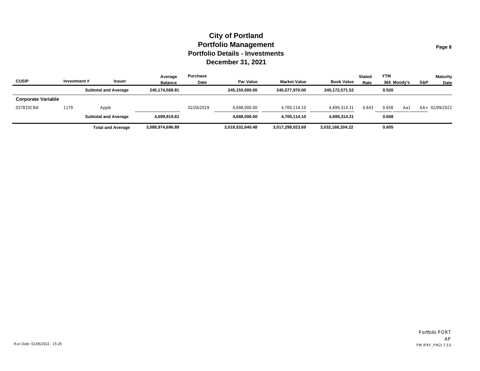| <b>CUSIP</b>              | Investment# | <b>Issuer</b>               | Average<br><b>Balance</b> | Purchase<br>Date | Par Value        | <b>Market Value</b> | <b>Book Value</b> | <b>Stated</b><br>Rate | <b>YTM</b><br>365 Moody's | S&P | <b>Maturity</b><br>Date |
|---------------------------|-------------|-----------------------------|---------------------------|------------------|------------------|---------------------|-------------------|-----------------------|---------------------------|-----|-------------------------|
|                           |             | <b>Subtotal and Average</b> | 245.174.568.81            |                  | 245.150.000.00   | 245.577.970.00      | 245.172.571.52    |                       | 0.520                     |     |                         |
| <b>Corporate Variable</b> |             |                             |                           |                  |                  |                     |                   |                       |                           |     |                         |
| 037833CN8                 | 1179        | Apple                       |                           | 02/26/2019       | 4,698,000.00     | 4,700,114.10        | 4,699,314.31      | 0.643                 | 0.658<br>Aa1              |     | AA+ 02/09/2022          |
|                           |             | <b>Subtotal and Average</b> | 4.699.819.81              |                  | 4,698,000.00     | 4,700,114.10        | 4,699,314.31      |                       | 0.658                     |     |                         |
|                           |             | <b>Total and Average</b>    | 3,088,974,696.89          |                  | 3,019,532,640.48 | 3,017,299,023.69    | 3,032,168,204.22  |                       | 0.605                     |     |                         |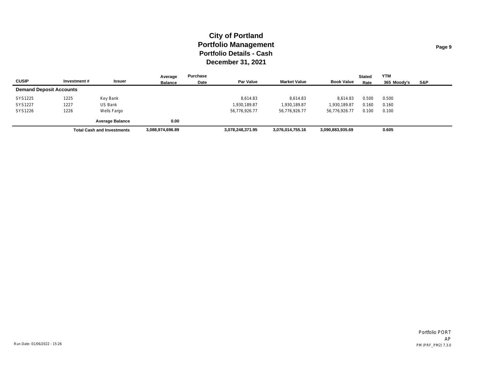|                                |             |                                   | Average          | Purchase |                  |                     |                   | <b>Stated</b> | <b>YTM</b>  |     |
|--------------------------------|-------------|-----------------------------------|------------------|----------|------------------|---------------------|-------------------|---------------|-------------|-----|
| <b>CUSIP</b>                   | Investment# | Issuer                            | <b>Balance</b>   | Date     | <b>Par Value</b> | <b>Market Value</b> | <b>Book Value</b> | Rate          | 365 Moodv's | S&P |
| <b>Demand Deposit Accounts</b> |             |                                   |                  |          |                  |                     |                   |               |             |     |
| SYS1225                        | 1225        | Key Bank                          |                  |          | 8.614.83         | 8.614.83            | 8.614.83          | 0.500         | 0.500       |     |
| SYS1227                        | 1227        | US Bank                           |                  |          | 1,930,189.87     | 1,930,189.87        | 1,930,189.87      | 0.160         | 0.160       |     |
| SYS1226                        | 1226        | Wells Fargo                       |                  |          | 56,776,926.77    | 56,776,926.77       | 56,776,926.77     | 0.100         | 0.100       |     |
|                                |             | <b>Average Balance</b>            | 0.00             |          |                  |                     |                   |               |             |     |
|                                |             | <b>Total Cash and Investments</b> | 3,088,974,696.89 |          | 3,078,248,371.95 | 3,076,014,755.16    | 3,090,883,935.69  |               | 0.605       |     |